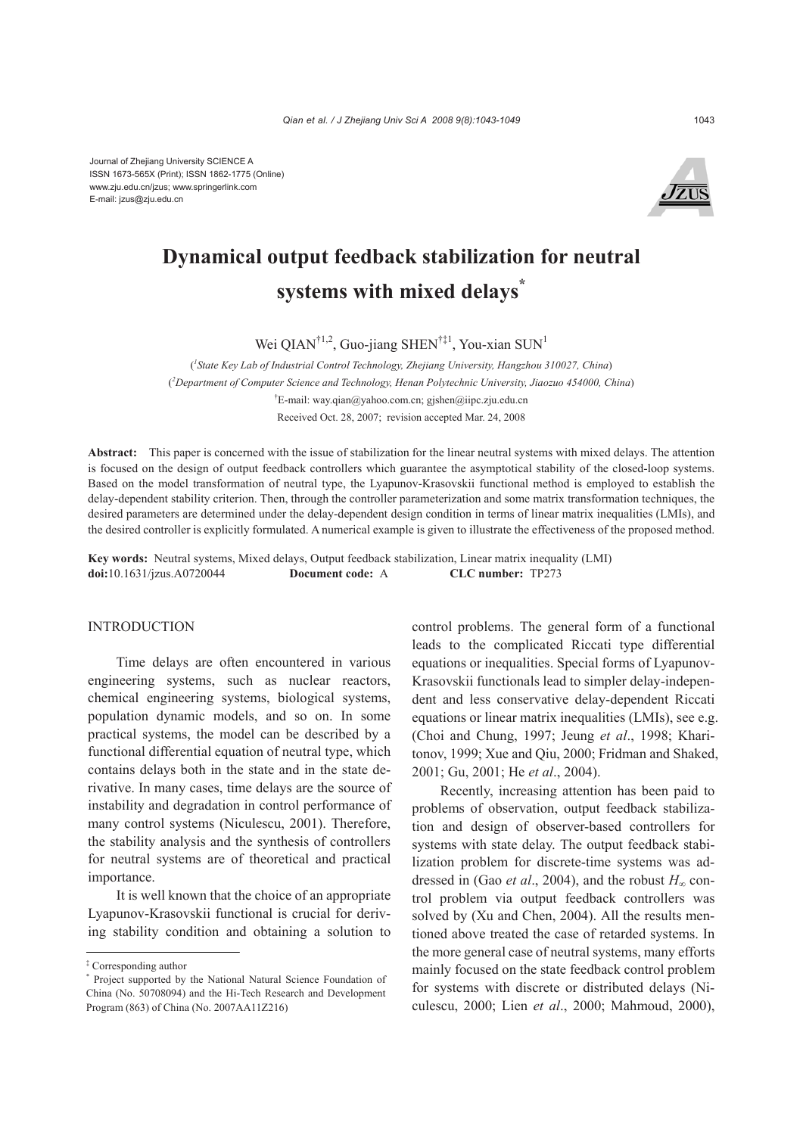Journal of Zhejiang University SCIENCE A ISSN 1673-565X (Print); ISSN 1862-1775 (Online) www.zju.edu.cn/jzus; www.springerlink.com E-mail: jzus@zju.edu.cn



# **Dynamical output feedback stabilization for neutral systems with mixed delays\***

Wei QIAN<sup>†1,2</sup>, Guo-jiang SHEN<sup>†‡1</sup>, You-xian SUN<sup>1</sup>

( *1 State Key Lab of Industrial Control Technology, Zhejiang University, Hangzhou 310027, China*) ( *2 Department of Computer Science and Technology, Henan Polytechnic University, Jiaozuo 454000, China*) † E-mail: way.qian@yahoo.com.cn; gjshen@iipc.zju.edu.cn Received Oct. 28, 2007; revision accepted Mar. 24, 2008

**Abstract:** This paper is concerned with the issue of stabilization for the linear neutral systems with mixed delays. The attention is focused on the design of output feedback controllers which guarantee the asymptotical stability of the closed-loop systems. Based on the model transformation of neutral type, the Lyapunov-Krasovskii functional method is employed to establish the delay-dependent stability criterion. Then, through the controller parameterization and some matrix transformation techniques, the desired parameters are determined under the delay-dependent design condition in terms of linear matrix inequalities (LMIs), and the desired controller is explicitly formulated. A numerical example is given to illustrate the effectiveness of the proposed method.

**Key words:** Neutral systems, Mixed delays, Output feedback stabilization, Linear matrix inequality (LMI) **doi:**10.1631/jzus.A0720044 **Document code:** A **CLC number:** TP273

## **INTRODUCTION**

Time delays are often encountered in various engineering systems, such as nuclear reactors, chemical engineering systems, biological systems, population dynamic models, and so on. In some practical systems, the model can be described by a functional differential equation of neutral type, which contains delays both in the state and in the state derivative. In many cases, time delays are the source of instability and degradation in control performance of many control systems (Niculescu, 2001). Therefore, the stability analysis and the synthesis of controllers for neutral systems are of theoretical and practical importance.

It is well known that the choice of an appropriate Lyapunov-Krasovskii functional is crucial for deriving stability condition and obtaining a solution to

control problems. The general form of a functional leads to the complicated Riccati type differential equations or inequalities. Special forms of Lyapunov-Krasovskii functionals lead to simpler delay-independent and less conservative delay-dependent Riccati equations or linear matrix inequalities (LMIs), see e.g. (Choi and Chung, 1997; Jeung *et al*., 1998; Kharitonov, 1999; Xue and Qiu, 2000; Fridman and Shaked, 2001; Gu, 2001; He *et al*., 2004).

Recently, increasing attention has been paid to problems of observation, output feedback stabilization and design of observer-based controllers for systems with state delay. The output feedback stabilization problem for discrete-time systems was addressed in (Gao *et al.*, 2004), and the robust  $H_{\infty}$  control problem via output feedback controllers was solved by (Xu and Chen, 2004). All the results mentioned above treated the case of retarded systems. In the more general case of neutral systems, many efforts mainly focused on the state feedback control problem for systems with discrete or distributed delays (Niculescu, 2000; Lien *et al*., 2000; Mahmoud, 2000),

<sup>‡</sup> Corresponding author

<sup>\*</sup> Project supported by the National Natural Science Foundation of China (No. 50708094) and the Hi-Tech Research and Development Program (863) of China (No. 2007AA11Z216)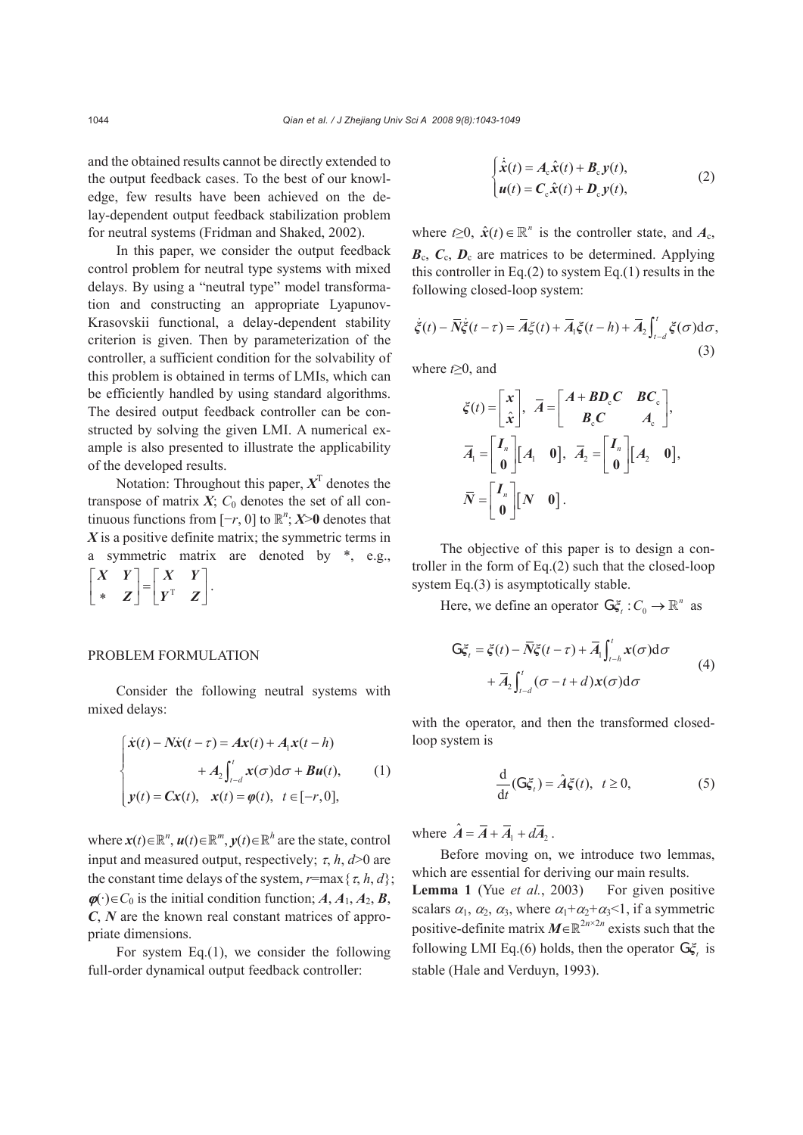and the obtained results cannot be directly extended to the output feedback cases. To the best of our knowledge, few results have been achieved on the delay-dependent output feedback stabilization problem for neutral systems (Fridman and Shaked, 2002).

In this paper, we consider the output feedback control problem for neutral type systems with mixed delays. By using a "neutral type" model transformation and constructing an appropriate Lyapunov-Krasovskii functional, a delay-dependent stability criterion is given. Then by parameterization of the controller, a sufficient condition for the solvability of this problem is obtained in terms of LMIs, which can be efficiently handled by using standard algorithms. The desired output feedback controller can be constructed by solving the given LMI. A numerical example is also presented to illustrate the applicability of the developed results.

Notation: Throughout this paper,  $X<sup>T</sup>$  denotes the transpose of matrix  $X$ ;  $C_0$  denotes the set of all continuous functions from  $[-r, 0]$  to  $\mathbb{R}^n$ ; *X*>0 denotes that *X* is a positive definite matrix; the symmetric terms in a symmetric matrix are denoted by \*, e.g.,  $\begin{bmatrix} X & Y \\ * & Z \end{bmatrix} = \begin{bmatrix} X & Y \\ Y^T & Z \end{bmatrix}.$ 

#### PROBLEM FORMULATION

Consider the following neutral systems with mixed delays:

$$
\begin{cases}\n\dot{x}(t) - N\dot{x}(t-\tau) = Ax(t) + A_1x(t-h) \\
+ A_2 \int_{t-d}^{t} x(\sigma) d\sigma + Bu(t), \\
y(t) = Cx(t), \quad x(t) = \varphi(t), \quad t \in [-r, 0],\n\end{cases}
$$
\n(1)

where  $\mathbf{x}(t) \in \mathbb{R}^n$ ,  $\mathbf{u}(t) \in \mathbb{R}^m$ ,  $\mathbf{y}(t) \in \mathbb{R}^h$  are the state, control input and measured output, respectively;  $\tau$ ,  $h$ ,  $d > 0$  are the constant time delays of the system,  $r = max\{\tau, h, d\}$ ;  $\phi$ (·)∈*C*<sub>0</sub> is the initial condition function; *A*, *A*<sub>1</sub>, *A*<sub>2</sub>, *B*, *C*, *N* are the known real constant matrices of appropriate dimensions.

For system Eq.(1), we consider the following full-order dynamical output feedback controller:

$$
\begin{cases}\n\dot{\hat{\mathbf{x}}}(t) = A_{\rm c}\hat{\mathbf{x}}(t) + \mathbf{B}_{\rm c}\mathbf{y}(t), \\
\mathbf{u}(t) = \mathbf{C}_{\rm c}\hat{\mathbf{x}}(t) + \mathbf{D}_{\rm c}\mathbf{y}(t),\n\end{cases} \tag{2}
$$

where  $t \geq 0$ ,  $\hat{x}(t) \in \mathbb{R}^n$  is the controller state, and  $A_c$ ,  $B_c$ ,  $C_c$ ,  $D_c$  are matrices to be determined. Applying this controller in Eq. $(2)$  to system Eq. $(1)$  results in the following closed-loop system:

$$
\dot{\xi}(t) - \overline{N}\dot{\xi}(t-\tau) = \overline{A}\xi(t) + \overline{A}_1\xi(t-h) + \overline{A}_2 \int_{t-d}^t \xi(\sigma)d\sigma,
$$
\n(3)

where *t*≥0, and

$$
\begin{aligned}\n\xi(t) &= \begin{bmatrix} x \\ \hat{x} \end{bmatrix}, \ \ \overline{A} = \begin{bmatrix} A + BD_cC & BC_c \\ B_cC & A_c \end{bmatrix}, \\
\overline{A}_1 &= \begin{bmatrix} I_n \\ 0 \end{bmatrix} [A_1 \quad 0], \ \ \overline{A}_2 = \begin{bmatrix} I_n \\ 0 \end{bmatrix} [A_2 \quad 0], \\
\overline{N} &= \begin{bmatrix} I_n \\ 0 \end{bmatrix} [N \quad 0].\n\end{aligned}
$$

The objective of this paper is to design a controller in the form of Eq.(2) such that the closed-loop system Eq.(3) is asymptotically stable.

Here, we define an operator  $G\xi_t : C_0 \to \mathbb{R}^n$  as

$$
G\xi_{t} = \xi(t) - \overline{N}\xi(t-\tau) + \overline{A}_{1}\int_{t-h}^{t} x(\sigma)d\sigma
$$
  
+ 
$$
\overline{A}_{2}\int_{t-d}^{t} (\sigma - t + d)x(\sigma)d\sigma
$$
 (4)

with the operator, and then the transformed closedloop system is

$$
\frac{\mathrm{d}}{\mathrm{d}t}(\mathbb{G}\xi_t) = \hat{A}\xi(t), \ \ t \ge 0,\tag{5}
$$

where  $\hat{A} = \overline{A} + \overline{A}_1 + d\overline{A}_2$ .

Before moving on, we introduce two lemmas, which are essential for deriving our main results. **Lemma 1** (Yue *et al.*, 2003) For given positive scalars  $\alpha_1$ ,  $\alpha_2$ ,  $\alpha_3$ , where  $\alpha_1 + \alpha_2 + \alpha_3 < 1$ , if a symmetric positive-definite matrix  $M \in \mathbb{R}^{2n \times 2n}$  exists such that the following LMI Eq.(6) holds, then the operator  $G\xi$ , is stable (Hale and Verduyn, 1993).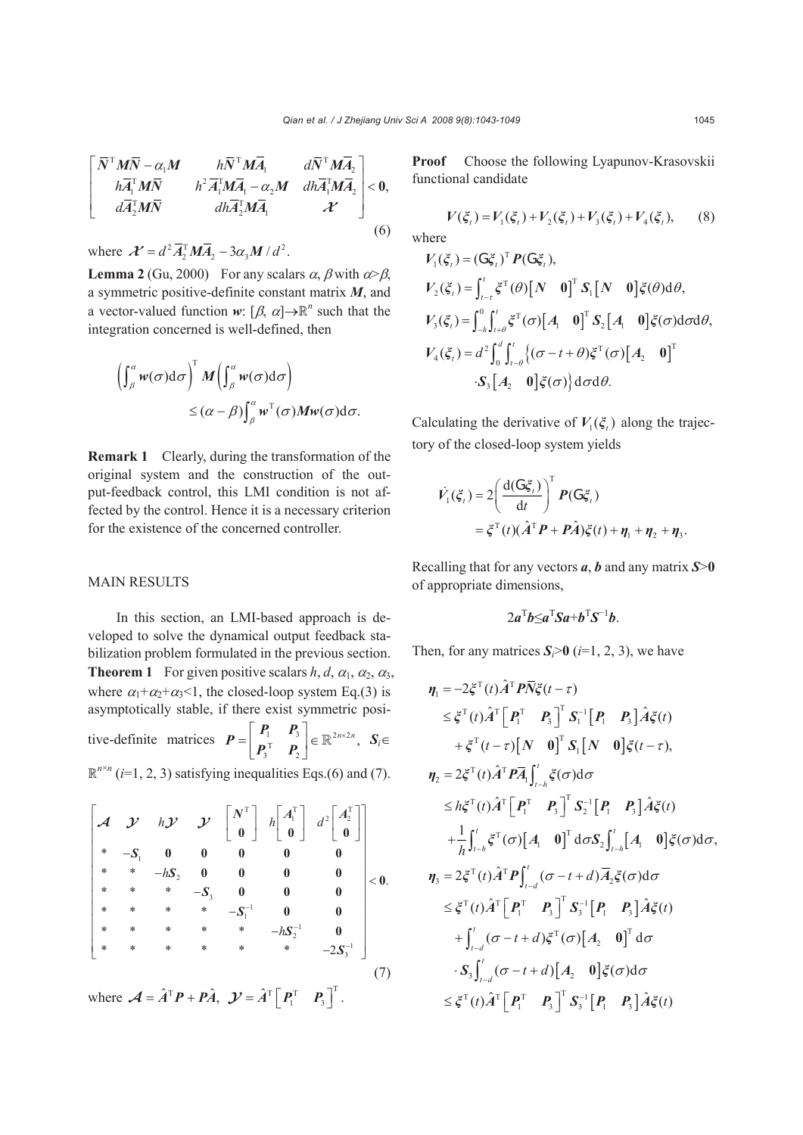$$
\begin{bmatrix}\n\bar{N}^{\mathrm{T}}\boldsymbol{M}\bar{\boldsymbol{N}}-\alpha_{1}\boldsymbol{M} & h\bar{N}^{\mathrm{T}}\boldsymbol{M}\bar{\boldsymbol{A}}_{1} & d\bar{N}^{\mathrm{T}}\boldsymbol{M}\bar{\boldsymbol{A}}_{2} \\
h\bar{\boldsymbol{A}}_{1}^{\mathrm{T}}\boldsymbol{M}\bar{\boldsymbol{N}} & h^{2}\bar{\boldsymbol{A}}_{1}^{\mathrm{T}}\boldsymbol{M}\bar{\boldsymbol{A}}_{1} - \alpha_{2}\boldsymbol{M} & dh\bar{\boldsymbol{A}}_{1}^{\mathrm{T}}\boldsymbol{M}\bar{\boldsymbol{A}}_{2} \\
d\bar{\boldsymbol{A}}_{2}^{\mathrm{T}}\boldsymbol{M}\bar{\boldsymbol{N}} & dh\bar{\boldsymbol{A}}_{2}^{\mathrm{T}}\boldsymbol{M}\bar{\boldsymbol{A}}_{1} & \boldsymbol{\mathcal{X}}\n\end{bmatrix} < 0,
$$
\n(6)

where  $\mathcal{X} = d^2 \overline{A}_2^T M \overline{A}_2 - 3\alpha_3 M / d^2$ .

**Lemma 2** (Gu, 2000) For any scalars  $\alpha$ ,  $\beta$  with  $\alpha > \beta$ , a symmetric positive-definite constant matrix *M*, and a vector-valued function *w*:  $[\beta, \alpha] \rightarrow \mathbb{R}^n$  such that the integration concerned is well-defined, then

$$
\left(\int_{\beta}^{\alpha} w(\sigma) d\sigma\right)^{T} M\left(\int_{\beta}^{\alpha} w(\sigma) d\sigma\right)
$$

$$
\leq (\alpha - \beta) \int_{\beta}^{\alpha} w^{T}(\sigma) M w(\sigma) d\sigma.
$$

**Remark 1** Clearly, during the transformation of the original system and the construction of the output-feedback control, this LMI condition is not affected by the control. Hence it is a necessary criterion for the existence of the concerned controller.

## MAIN RESULTS

In this section, an LMI-based approach is developed to solve the dynamical output feedback stabilization problem formulated in the previous section. **Theorem 1** For given positive scalars *h*, *d*,  $\alpha_1$ ,  $\alpha_2$ ,  $\alpha_3$ , where  $\alpha_1 + \alpha_2 + \alpha_3 \leq 1$ , the closed-loop system Eq.(3) is asymptotically stable, if there exist symmetric positive-definite matrices  $P = \begin{bmatrix} I_1 & I_3 \ P_3^T & P_2 \end{bmatrix} \in \mathbb{R}^{2n \times 2}$  $\bm{P} = \begin{bmatrix} \bm{P}_1 & \bm{P}_3 \ \bm{P}_3^{\mathrm{T}} & \bm{P}_2 \end{bmatrix} \in \mathbb{R}^{2n \times 2n}, \ \ \bm{S}_i \in$  $\mathbb{R}^{n \times n}$  (*i*=1, 2, 3) satisfying inequalities Eqs.(6) and (7).

$$
\begin{bmatrix}\n\mathbf{A} & \mathbf{J} & h\mathbf{J} & \mathbf{J} & \begin{bmatrix} N^{\mathrm{T}} \\ 0 & 0 \end{bmatrix} & h \begin{bmatrix} A_{1}^{\mathrm{T}} \\ 0 \end{bmatrix} & d^{2} \begin{bmatrix} A_{2}^{\mathrm{T}} \\ 0 \end{bmatrix} \\
* & -S_{1} & 0 & 0 & 0 & 0 & 0 \\
* & * & -hS_{2} & 0 & 0 & 0 & 0 \\
* & * & * & -S_{3} & 0 & 0 & 0 \\
* & * & * & * & -S_{1}^{-1} & 0 & 0 \\
* & * & * & * & * & -hS_{2}^{-1} & 0 \\
* & * & * & * & * & * & -2S_{3}^{-1}\n\end{bmatrix} < 0.
$$
\nwhere  $\mathbf{A} = \hat{A}^{\mathrm{T}} \mathbf{P} + \mathbf{P} \hat{A}$ ,  $\mathbf{J} = \hat{A}^{\mathrm{T}} \begin{bmatrix} \mathbf{P}_{1}^{\mathrm{T}} & \mathbf{P}_{3} \end{bmatrix}^{\mathrm{T}}$ . (7)

**Proof** Choose the following Lyapunov-Krasovskii functional candidate

$$
V(\xi_t) = V_1(\xi_t) + V_2(\xi_t) + V_3(\xi_t) + V_4(\xi_t),
$$
 (8)  
where

$$
V_1(\xi_t) = (G\xi_t)^T P(G\xi_t),
$$
  
\n
$$
V_2(\xi_t) = \int_{t-\tau}^t \xi^T(\theta) [N \quad 0]^T S_1 [N \quad 0] \xi(\theta) d\theta,
$$
  
\n
$$
V_3(\xi_t) = \int_{-h}^0 \int_{t+\theta}^t \xi^T(\sigma) [A_1 \quad 0]^T S_2 [A_1 \quad 0] \xi(\sigma) d\sigma d\theta,
$$
  
\n
$$
V_4(\xi_t) = d^2 \int_0^d \int_{t-\theta}^t \{(\sigma - t + \theta) \xi^T(\sigma) [A_2 \quad 0]^T
$$
  
\n
$$
\cdot S_3 [A_2 \quad 0] \xi(\sigma) \} d\sigma d\theta.
$$

Calculating the derivative of  $V_1(\xi)$  along the trajectory of the closed-loop system yields

$$
\dot{V}_1(\xi_t) = 2 \left( \frac{d(G\xi_t)}{dt} \right)^T P(G\xi_t)
$$
  
=  $\xi^T(t) (\hat{A}^T P + P\hat{A}) \xi(t) + \eta_1 + \eta_2 + \eta_3$ .

Recalling that for any vectors *a*, *b* and any matrix *S*>**0** of appropriate dimensions,

$$
2a^{\mathrm{T}}b \leq a^{\mathrm{T}}Sa + b^{\mathrm{T}}S^{-1}b.
$$

Then, for any matrices  $S_i > 0$  (*i*=1, 2, 3), we have

$$
\eta_{1} = -2\xi^{T}(t)\hat{A}^{T}P\overline{N}\xi(t-\tau)
$$
\n
$$
\leq \xi^{T}(t)\hat{A}^{T}\begin{bmatrix} P_{1}^{T} & P_{3} \end{bmatrix}^{T} S_{1}^{-1}\begin{bmatrix} P_{1} & P_{3} \end{bmatrix} \hat{A}\xi(t)
$$
\n
$$
+ \xi^{T}(t-\tau)\begin{bmatrix} N & 0 \end{bmatrix}^{T} S_{1}\begin{bmatrix} N & 0 \end{bmatrix}\xi(t-\tau),
$$
\n
$$
\eta_{2} = 2\xi^{T}(t)\hat{A}^{T}P\overline{A}_{1}\int_{t-h}^{t}\xi(\sigma)d\sigma
$$
\n
$$
\leq h\xi^{T}(t)\hat{A}^{T}\begin{bmatrix} P_{1}^{T} & P_{3} \end{bmatrix}^{T} S_{2}^{-1}\begin{bmatrix} P_{1} & P_{3} \end{bmatrix}\hat{A}\xi(t)
$$
\n
$$
+ \frac{1}{h}\int_{t-h}^{t}\xi^{T}(\sigma)\begin{bmatrix} A_{1} & 0 \end{bmatrix}^{T} d\sigma S_{2}\int_{t-h}^{t}\begin{bmatrix} A_{1} & 0 \end{bmatrix}\xi(\sigma)d\sigma,
$$
\n
$$
\eta_{3} = 2\xi^{T}(t)\hat{A}^{T}P\int_{t-d}^{t}(\sigma-t+d)\overline{A}_{2}\xi(\sigma)d\sigma
$$
\n
$$
\leq \xi^{T}(t)\hat{A}^{T}\begin{bmatrix} P_{1}^{T} & P_{3} \end{bmatrix}^{T} S_{3}^{-1}\begin{bmatrix} P_{1} & P_{3} \end{bmatrix}\hat{A}\xi(t)
$$
\n
$$
+ \int_{t-d}^{t}(\sigma-t+d)\xi^{T}(\sigma)\begin{bmatrix} A_{2} & 0 \end{bmatrix}^{T} d\sigma
$$
\n
$$
\cdot S_{3}\int_{t-d}^{t}(\sigma-t+d)\begin{bmatrix} A_{2} & 0 \end{bmatrix}\xi(\sigma)d\sigma
$$
\n
$$
\leq \xi^{T}(t)\hat{A}^{T}\begin{bmatrix} P_{1}^{T} & P_{3} \end{bmatrix}^{T} S_{3}^{-1}\begin{bmatrix} P_{1} & P_{3} \end{bmatrix}\hat{A}\xi(t)
$$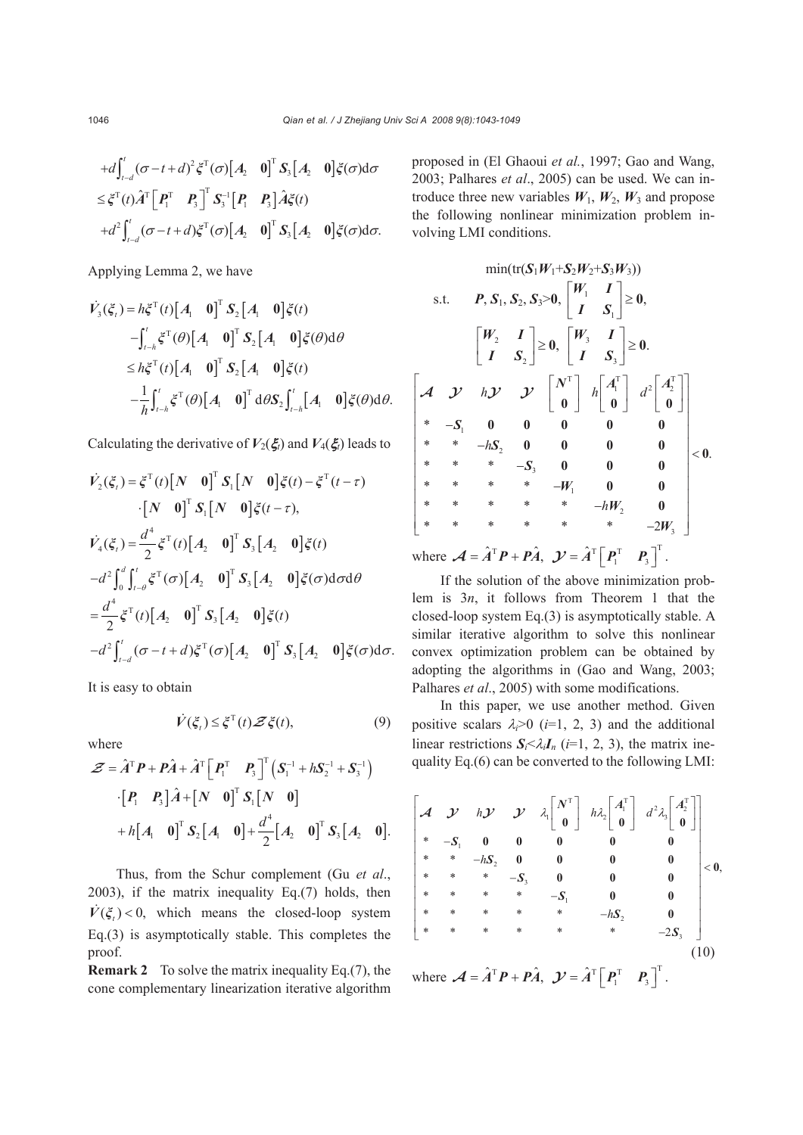$$
+d\int_{t-d}^{t}(\sigma-t+d)^{2}\xi^{T}(\sigma)[A_{2} \quad 0]^{T} S_{3}[A_{2} \quad 0]\xi(\sigma)d\sigma
$$
  

$$
\leq \xi^{T}(t)\hat{A}^{T}\Big[P_{1}^{T} \quad P_{3}\Big]^{T} S_{3}^{-1}\Big[P_{1} \quad P_{3}\Big]\hat{A}\xi(t)
$$

$$
+d^{2}\int_{t-d}^{t}(\sigma-t+d)\xi^{T}(\sigma)[A_{2} \quad 0]^{T} S_{3}[A_{2} \quad 0]\xi(\sigma)d\sigma.
$$

Applying Lemma 2, we have

$$
\dot{V}_3(\xi_t) = h\xi^{\mathrm{T}}(t) \begin{bmatrix} A_1 & 0 \end{bmatrix}^{\mathrm{T}} S_2 \begin{bmatrix} A_1 & 0 \end{bmatrix} \xi(t)
$$
  
\n
$$
- \int_{t-h}^{t} \xi^{\mathrm{T}}(\theta) \begin{bmatrix} A_1 & 0 \end{bmatrix}^{\mathrm{T}} S_2 \begin{bmatrix} A_1 & 0 \end{bmatrix} \xi(\theta) d\theta
$$
  
\n
$$
\leq h\xi^{\mathrm{T}}(t) \begin{bmatrix} A_1 & 0 \end{bmatrix}^{\mathrm{T}} S_2 \begin{bmatrix} A_1 & 0 \end{bmatrix} \xi(t)
$$
  
\n
$$
- \frac{1}{h} \int_{t-h}^{t} \xi^{\mathrm{T}}(\theta) \begin{bmatrix} A_1 & 0 \end{bmatrix}^{\mathrm{T}} d\theta S_2 \int_{t-h}^{t} \begin{bmatrix} A_1 & 0 \end{bmatrix} \xi(\theta) d\theta.
$$

Calculating the derivative of  $V_2(\xi)$  and  $V_4(\xi)$  leads to

$$
\dot{V}_{2}(\xi_{t}) = \xi^{\mathrm{T}}(t) \begin{bmatrix} N & 0 \end{bmatrix}^{\mathrm{T}} S_{1} \begin{bmatrix} N & 0 \end{bmatrix} \xi(t) - \xi^{\mathrm{T}}(t-\tau) \n\cdot \begin{bmatrix} N & 0 \end{bmatrix}^{\mathrm{T}} S_{1} \begin{bmatrix} N & 0 \end{bmatrix} \xi(t-\tau), \n\dot{V}_{4}(\xi_{t}) = \frac{d^{4}}{2} \xi^{\mathrm{T}}(t) \begin{bmatrix} A_{2} & 0 \end{bmatrix}^{\mathrm{T}} S_{3} \begin{bmatrix} A_{2} & 0 \end{bmatrix} \xi(t) \n-d^{2} \int_{0}^{d} \int_{t-\theta}^{t} \xi^{\mathrm{T}}(\sigma) \begin{bmatrix} A_{2} & 0 \end{bmatrix}^{\mathrm{T}} S_{3} \begin{bmatrix} A_{2} & 0 \end{bmatrix} \xi(\sigma) d\sigma d\theta \n= \frac{d^{4}}{2} \xi^{\mathrm{T}}(t) \begin{bmatrix} A_{2} & 0 \end{bmatrix}^{\mathrm{T}} S_{3} \begin{bmatrix} A_{2} & 0 \end{bmatrix} \xi(t) \n-d^{2} \int_{t-d}^{t} (\sigma - t + d) \xi^{\mathrm{T}}(\sigma) \begin{bmatrix} A_{2} & 0 \end{bmatrix}^{\mathrm{T}} S_{3} \begin{bmatrix} A_{2} & 0 \end{bmatrix} \xi(\sigma) d\sigma.
$$

It is easy to obtain

$$
\dot{V}(\xi_t) \leq \xi^{\mathrm{T}}(t) \mathcal{Z}\xi(t),\tag{9}
$$

where

$$
\mathcal{Z} = \hat{A}^{\mathrm{T}} P + P \hat{A} + \hat{A}^{\mathrm{T}} \begin{bmatrix} P_1^{\mathrm{T}} & P_3 \end{bmatrix}^{\mathrm{T}} \begin{bmatrix} S_1^{-1} + h S_2^{-1} + S_3^{-1} \end{bmatrix}
$$

$$
\cdot \begin{bmatrix} P_1 & P_3 \end{bmatrix} \hat{A} + \begin{bmatrix} N & 0 \end{bmatrix}^{\mathrm{T}} S_1 \begin{bmatrix} N & 0 \end{bmatrix}
$$

$$
+ h \begin{bmatrix} A_1 & 0 \end{bmatrix}^{\mathrm{T}} S_2 \begin{bmatrix} A_1 & 0 \end{bmatrix} + \frac{d^4}{2} \begin{bmatrix} A_2 & 0 \end{bmatrix}^{\mathrm{T}} S_3 \begin{bmatrix} A_2 & 0 \end{bmatrix}.
$$

Thus, from the Schur complement (Gu *et al*., 2003), if the matrix inequality Eq.(7) holds, then  $V(\xi) < 0$ , which means the closed-loop system Eq.(3) is asymptotically stable. This completes the proof.

**Remark 2** To solve the matrix inequality Eq.(7), the cone complementary linearization iterative algorithm proposed in (El Ghaoui *et al.*, 1997; Gao and Wang, 2003; Palhares *et al*., 2005) can be used. We can introduce three new variables  $W_1$ ,  $W_2$ ,  $W_3$  and propose the following nonlinear minimization problem involving LMI conditions.

$$
\min(\text{tr}(\mathbf{S}_1 W_1 + \mathbf{S}_2 W_2 + \mathbf{S}_3 W_3))
$$
\ns.t.  $\mathbf{P}, \mathbf{S}_1, \mathbf{S}_2, \mathbf{S}_3 > 0, \begin{bmatrix} W_1 & I \\ I & S_1 \end{bmatrix} \ge 0,$ \n
$$
\begin{bmatrix} W_2 & I \\ I & S_2 \end{bmatrix} \ge 0, \begin{bmatrix} W_3 & I \\ I & S_3 \end{bmatrix} \ge 0.
$$
\n
$$
\begin{bmatrix} \mathcal{A} & \mathcal{Y} & h\mathcal{Y} & \mathcal{Y} \\ * & -S_1 & 0 & 0 \\ * & * & -hS_2 & 0 & 0 \\ * & * & * & -S_3 & 0 & 0 \\ * & * & * & * & -W_1 & 0 & 0 \\ * & * & * & * & * & -hW_2 & 0 \\ * & * & * & * & * & -hW_2 & 0 \\ * & * & * & * & * & -hW_2 & 0 \\ * & * & * & * & * & -2W_3 \end{bmatrix} < 0.
$$

where  $\mathcal{A} = \hat{A}^T \mathbf{P} + \mathbf{P} \hat{A}$ ,  $\mathcal{Y} = \hat{A}^T \begin{bmatrix} \mathbf{P}_1^T & \mathbf{P}_3 \end{bmatrix}^T$ .

If the solution of the above minimization problem is 3*n*, it follows from Theorem 1 that the closed-loop system Eq.(3) is asymptotically stable. A similar iterative algorithm to solve this nonlinear convex optimization problem can be obtained by adopting the algorithms in (Gao and Wang, 2003; Palhares *et al.*, 2005) with some modifications.

In this paper, we use another method. Given positive scalars  $\lambda_i > 0$  (*i*=1, 2, 3) and the additional linear restrictions  $S_i<\lambda_iI_n$  (*i*=1, 2, 3), the matrix inequality Eq.(6) can be converted to the following LMI:

$$
\begin{bmatrix}\n\mathcal{A} & \mathcal{Y} & h\mathcal{Y} & \mathcal{Y} & \lambda \begin{bmatrix} N^{\mathrm{T}} \\ 0 \end{bmatrix} & h\lambda \begin{bmatrix} A_{1}^{\mathrm{T}} \\ 0 \end{bmatrix} & d^{2}\lambda_{3} \begin{bmatrix} A_{2}^{\mathrm{T}} \\ 0 \end{bmatrix} \\
* & -S_{1} & 0 & 0 & 0 & 0 & 0 \\
* & * & -hS_{2} & 0 & 0 & 0 & 0 \\
* & * & * & -S_{3} & 0 & 0 & 0 \\
* & * & * & * & -S_{1} & 0 & 0 \\
* & * & * & * & * & -hS_{2} & 0 \\
* & * & * & * & * & * & -2S_{3}\n\end{bmatrix} < 0,
$$
\n
$$
\begin{bmatrix}\n* & * & * & * & -S_{1} & 0 & 0 \\
* & * & * & * & * & -hS_{2} & 0 \\
* & * & * & * & * & * & -2S_{3}\n\end{bmatrix}
$$
\n
$$
(10)
$$

where  $\mathcal{A} = \hat{A}^T \mathbf{P} + \mathbf{P} \hat{A}$ ,  $\mathcal{Y} = \hat{A}^T \begin{bmatrix} \mathbf{P}_1^T & \mathbf{P}_3 \end{bmatrix}^T$ .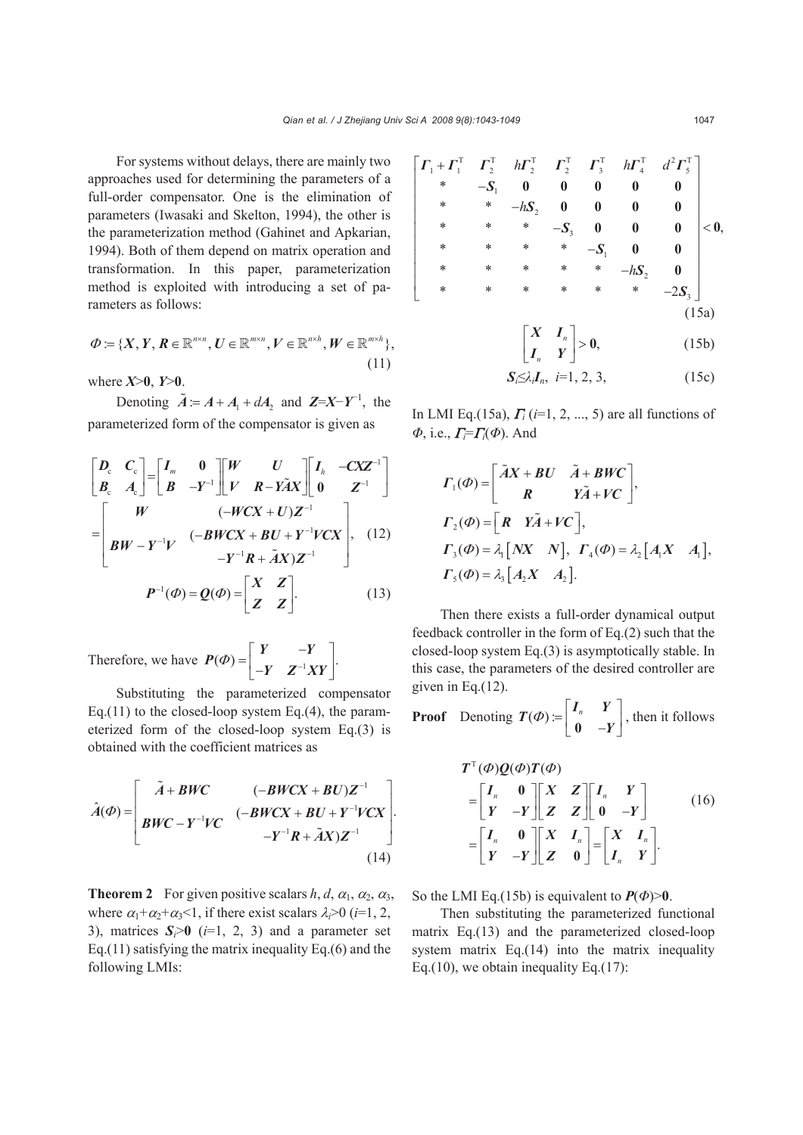For systems without delays, there are mainly two approaches used for determining the parameters of a full-order compensator. One is the elimination of parameters (Iwasaki and Skelton, 1994), the other is the parameterization method (Gahinet and Apkarian, 1994). Both of them depend on matrix operation and transformation. In this paper, parameterization method is exploited with introducing a set of parameters as follows:

$$
\varPhi := \{X, Y, R \in \mathbb{R}^{n \times n}, U \in \mathbb{R}^{m \times n}, V \in \mathbb{R}^{n \times h}, W \in \mathbb{R}^{m \times h}\},\tag{11}
$$

where *X*>**0**, *Y*>**0**.

Denoting  $\tilde{A} = A + A_1 + dA_2$  and  $\mathbf{Z} = X - Y^{-1}$ , the parameterized form of the compensator is given as

$$
\begin{bmatrix} \mathbf{D}_{\rm c} & \mathbf{C}_{\rm c} \\ \mathbf{B}_{\rm c} & \mathbf{A}_{\rm c} \end{bmatrix} = \begin{bmatrix} I_m & 0 \\ B & -Y^{-1} \end{bmatrix} \begin{bmatrix} W & U \\ V & R - Y \tilde{A} X \end{bmatrix} \begin{bmatrix} I_h & -C X Z^{-1} \\ 0 & Z^{-1} \end{bmatrix}
$$

$$
= \begin{bmatrix} W & (-W C X + U) Z^{-1} \\ B W - Y^{-1} V & (-B W C X + B U + Y^{-1} V C X) \\ -Y^{-1} R + \tilde{A} X) Z^{-1} \end{bmatrix}, \quad (12)
$$

$$
\mathbf{P}^{-1}(\mathbf{\Phi}) = \mathbf{Q}(\mathbf{\Phi}) = \begin{bmatrix} X & Z \\ Z & Z \end{bmatrix}.
$$

Therefore, we have  $P(\Phi) = \begin{bmatrix} Y & -Y \\ -Y & Z^{-1}XY \end{bmatrix}$ . *Y Z XY*

Substituting the parameterized compensator Eq.(11) to the closed-loop system Eq.(4), the parameterized form of the closed-loop system Eq.(3) is obtained with the coefficient matrices as

$$
\hat{A}(\Phi) = \begin{bmatrix}\n\tilde{A} + BWC & (-BWCX + BU)Z^{-1} \\
BWC - Y^{-1}VC & (-BWCX + BU + Y^{-1}VCX) \\
-Y^{-1}R + \tilde{A}X)Z^{-1}\n\end{bmatrix}.
$$
\n(14)

**Theorem 2** For given positive scalars  $h, d, \alpha_1, \alpha_2, \alpha_3$ , where  $\alpha_1 + \alpha_2 + \alpha_3 < 1$ , if there exist scalars  $\lambda_i > 0$  (*i*=1, 2, 3), matrices  $S_i > 0$  ( $i=1, 2, 3$ ) and a parameter set Eq.(11) satisfying the matrix inequality Eq.(6) and the following LMIs:

$$
\begin{vmatrix}\n\Gamma_1 + \Gamma_1^T & \Gamma_2^T & h\Gamma_2^T & \Gamma_2^T & \Gamma_3^T & h\Gamma_4^T & d^2\Gamma_5^T \\
* & -S_1 & 0 & 0 & 0 & 0 & 0 \\
* & * & -hS_2 & 0 & 0 & 0 & 0 \\
* & * & * & -S_3 & 0 & 0 & 0 \\
* & * & * & * & -S_1 & 0 & 0 \\
* & * & * & * & * & -hS_2 & 0 \\
* & * & * & * & * & * & -2S_3\n\end{vmatrix} < 0,
$$
\n(15a)  
\n
$$
\begin{bmatrix}\nX & I_n \\
I_n & Y\n\end{bmatrix} > 0, \qquad (15b)
$$
\n
$$
S_1 \leq \lambda_i I_n, i=1, 2, 3, \qquad (15c)
$$

In LMI Eq.(15a), <sup>Γ</sup>*i* (*i*=1, 2, ..., 5) are all functions of *Φ*, i.e., <sup>Γ</sup>*i*=<sup>Γ</sup>*i*(*Φ*). And

$$
\Gamma_1(\Phi) = \begin{bmatrix} \tilde{A}X + BU & \tilde{A} + BWC \\ R & Y\tilde{A} + VC \end{bmatrix},
$$
  
\n
$$
\Gamma_2(\Phi) = \begin{bmatrix} R & Y\tilde{A} + VC \end{bmatrix},
$$
  
\n
$$
\Gamma_3(\Phi) = \lambda_1 [NX \ N], \ \Gamma_4(\Phi) = \lambda_2 [A_1X \ A_1],
$$
  
\n
$$
\Gamma_5(\Phi) = \lambda_3 [A_2X \ A_2].
$$

Then there exists a full-order dynamical output feedback controller in the form of Eq.(2) such that the closed-loop system Eq.(3) is asymptotically stable. In this case, the parameters of the desired controller are given in Eq.(12).

**Proof** Denoting  $T(\Phi) := \begin{bmatrix} I_n & Y \\ 0 & -Y \end{bmatrix}$ , then it follows

$$
T^{T}(\varPhi)Q(\varPhi)T(\varPhi)
$$
  
=  $\begin{bmatrix} I_{n} & 0 \\ Y & -Y \end{bmatrix} \begin{bmatrix} X & Z \\ Z & Z \end{bmatrix} \begin{bmatrix} I_{n} & Y \\ 0 & -Y \end{bmatrix}$  (16)  
=  $\begin{bmatrix} I_{n} & 0 \\ Y & -Y \end{bmatrix} \begin{bmatrix} X & I_{n} \\ Z & 0 \end{bmatrix} = \begin{bmatrix} X & I_{n} \\ I_{n} & Y \end{bmatrix}.$ 

So the LMI Eq.(15b) is equivalent to  $P(\Phi) > 0$ .

Then substituting the parameterized functional matrix Eq.(13) and the parameterized closed-loop system matrix Eq.(14) into the matrix inequality Eq.(10), we obtain inequality Eq.(17):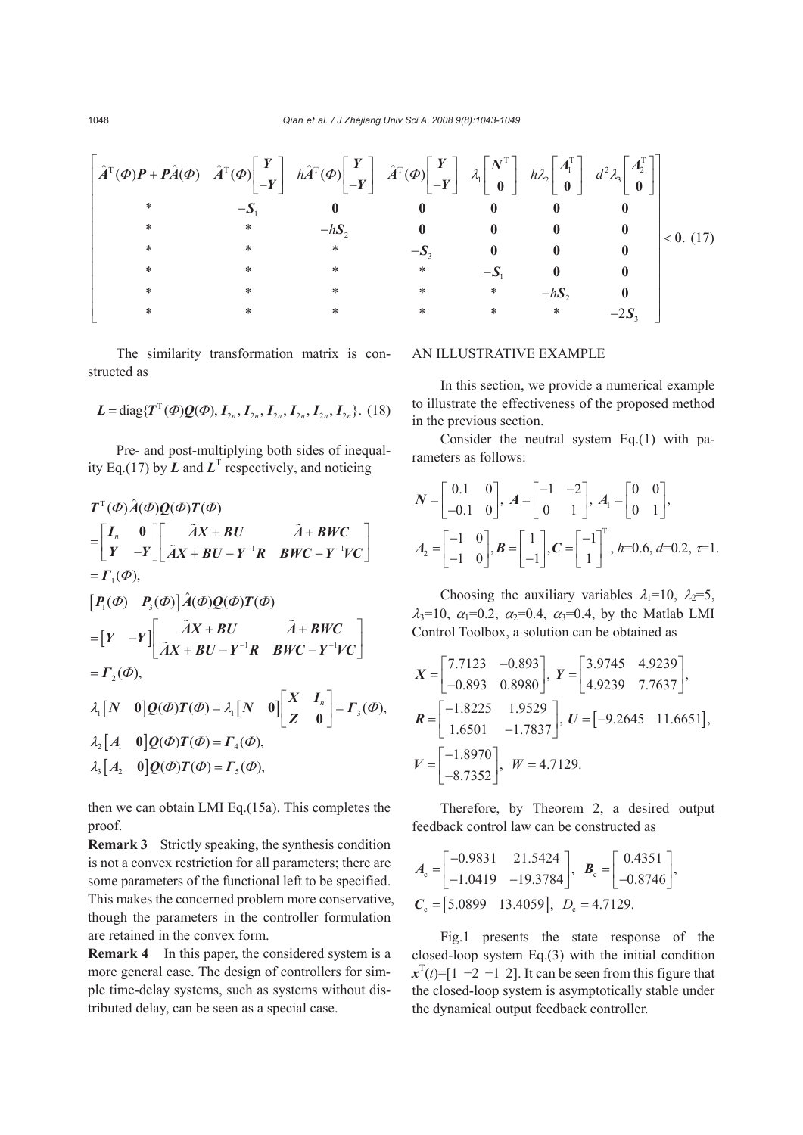(17) TT T T T TT 2 1 2 12 3 1 2 3 1 2 3 ˆ ˆˆ ˆ ˆ () () () () () \* \* \* . \* \*\* \* \*\*\* \* \* \* \*\* \* \* \* \* \*\* 2 *h hd h h* Φ ΦΦ Φ Φ λ λ λ <sup>⎡</sup> ⎡⎤ ⎡⎤ ⎡⎤ ⎡ ⎤ ⎡⎤ ⎡⎤⎤ <sup>⎢</sup> <sup>+</sup> ⎢⎥ ⎢⎥ ⎢⎥ ⎢ ⎥ ⎢⎥ ⎢⎥⎥ ⎣⎦ ⎣⎦ ⎣⎦ − −− <sup>⎢</sup> ⎣ ⎦ ⎣⎦ ⎣⎦⎥ <sup>⎢</sup> <sup>⎥</sup> <sup>−</sup> <sup>⎢</sup> <sup>⎥</sup> <sup>⎢</sup> <sup>−</sup> <sup>⎥</sup> <sup>&</sup>lt; <sup>⎢</sup> <sup>⎥</sup> <sup>−</sup> <sup>⎢</sup> <sup>⎥</sup> <sup>⎢</sup> <sup>−</sup> <sup>⎥</sup> <sup>⎢</sup> <sup>⎥</sup> <sup>−</sup> <sup>⎢</sup> <sup>⎥</sup> <sup>⎢</sup> <sup>−</sup> <sup>⎥</sup> <sup>⎣</sup> <sup>⎦</sup> *Y YY NA A A P PA A A A Y YY S S S S S S* **00 0 0 0 00 0 0 00 0 <sup>0</sup> 00 0 0 0 0**

The similarity transformation matrix is constructed as

$$
L = diag\{T^{T}(\phi)Q(\phi), I_{2n}, I_{2n}, I_{2n}, I_{2n}, I_{2n}, I_{2n}\}.
$$
 (18)

Pre- and post-multiplying both sides of inequality Eq.(17) by  $L$  and  $L<sup>T</sup>$  respectively, and noticing

$$
T^{T}(\Phi)\hat{A}(\Phi)Q(\Phi)T(\Phi)
$$
\n
$$
= \begin{bmatrix} I_{n} & 0 \\ Y & -Y \end{bmatrix} \begin{bmatrix} \tilde{A}X + BU & \tilde{A} + BWC \\ \tilde{A}X + BU - Y^{-1}R & BWC - Y^{-1}VC \end{bmatrix}
$$
\n
$$
= \Gamma_{1}(\Phi),
$$
\n
$$
[P_{1}(\Phi) \quad P_{3}(\Phi)]\hat{A}(\Phi)Q(\Phi)T(\Phi)
$$
\n
$$
= [Y \quad -Y] \begin{bmatrix} \tilde{A}X + BU & \tilde{A} + BWC \\ \tilde{A}X + BU - Y^{-1}R & BWC - Y^{-1}VC \end{bmatrix}
$$
\n
$$
= \Gamma_{2}(\Phi),
$$
\n
$$
\lambda_{1}[N \quad 0]Q(\Phi)T(\Phi) = \lambda_{1}[N \quad 0] \begin{bmatrix} X & I_{n} \\ Z & 0 \end{bmatrix} = \Gamma_{3}(\Phi),
$$
\n
$$
\lambda_{2}[A_{1} \quad 0]Q(\Phi)T(\Phi) = \Gamma_{4}(\Phi),
$$
\n
$$
\lambda_{3}[A_{2} \quad 0]Q(\Phi)T(\Phi) = \Gamma_{5}(\Phi),
$$

then we can obtain LMI Eq.(15a). This completes the proof.

**Remark 3** Strictly speaking, the synthesis condition is not a convex restriction for all parameters; there are some parameters of the functional left to be specified. This makes the concerned problem more conservative, though the parameters in the controller formulation are retained in the convex form.

**Remark 4** In this paper, the considered system is a more general case. The design of controllers for simple time-delay systems, such as systems without distributed delay, can be seen as a special case.

#### AN ILLUSTRATIVE EXAMPLE

In this section, we provide a numerical example to illustrate the effectiveness of the proposed method in the previous section.

Consider the neutral system Eq.(1) with parameters as follows:

$$
N = \begin{bmatrix} 0.1 & 0 \\ -0.1 & 0 \end{bmatrix}, A = \begin{bmatrix} -1 & -2 \\ 0 & 1 \end{bmatrix}, A_1 = \begin{bmatrix} 0 & 0 \\ 0 & 1 \end{bmatrix},
$$
  

$$
A_2 = \begin{bmatrix} -1 & 0 \\ -1 & 0 \end{bmatrix}, B = \begin{bmatrix} 1 \\ -1 \end{bmatrix}, C = \begin{bmatrix} -1 \\ 1 \end{bmatrix}^T, h = 0.6, d = 0.2, \tau = 1.
$$

Choosing the auxiliary variables  $\lambda_1=10$ ,  $\lambda_2=5$ ,  $\lambda_3=10$ ,  $\alpha_1=0.2$ ,  $\alpha_2=0.4$ ,  $\alpha_3=0.4$ , by the Matlab LMI Control Toolbox, a solution can be obtained as

$$
X = \begin{bmatrix} 7.7123 & -0.893 \\ -0.893 & 0.8980 \end{bmatrix}, Y = \begin{bmatrix} 3.9745 & 4.9239 \\ 4.9239 & 7.7637 \end{bmatrix},
$$
  

$$
R = \begin{bmatrix} -1.8225 & 1.9529 \\ 1.6501 & -1.7837 \end{bmatrix}, U = \begin{bmatrix} -9.2645 & 11.6651 \end{bmatrix},
$$
  

$$
V = \begin{bmatrix} -1.8970 \\ -8.7352 \end{bmatrix}, W = 4.7129.
$$

Therefore, by Theorem 2, a desired output feedback control law can be constructed as

$$
A_{\rm c} = \begin{bmatrix} -0.9831 & 21.5424 \\ -1.0419 & -19.3784 \end{bmatrix}, \quad B_{\rm c} = \begin{bmatrix} 0.4351 \\ -0.8746 \end{bmatrix},
$$
  

$$
C_{\rm c} = \begin{bmatrix} 5.0899 & 13.4059 \end{bmatrix}, \quad D_{\rm c} = 4.7129.
$$

Fig.1 presents the state response of the closed-loop system Eq.(3) with the initial condition  $x^T(t)$ =[1 −2 −1 2]. It can be seen from this figure that the closed-loop system is asymptotically stable under the dynamical output feedback controller.